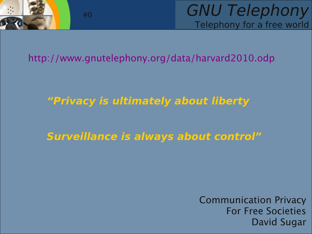

GNU Telephony Telephony for a free world

#### http://www.gnutelephony.org/data/harvard2010.odp

#### **"Privacy is ultimately about liberty**

#### **Surveillance is always about control"**

Communication Privacy For Free Societies David Sugar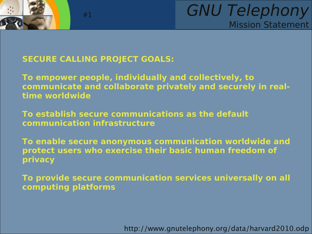

#### **SECURE CALLING PROJECT GOALS:**

#1

**To empower people, individually and collectively, to communicate and collaborate privately and securely in realtime worldwide**

**To establish secure communications as the default communication infrastructure**

**To enable secure anonymous communication worldwide and protect users who exercise their basic human freedom of privacy**

**To provide secure communication services universally on all computing platforms**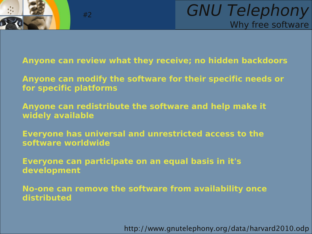

**Anyone can review what they receive; no hidden backdoors**

**Anyone can modify the software for their specific needs or for specific platforms**

**Anyone can redistribute the software and help make it widely available**

**Everyone has universal and unrestricted access to the software worldwide**

**Everyone can participate on an equal basis in it's development**

**No-one can remove the software from availability once distributed**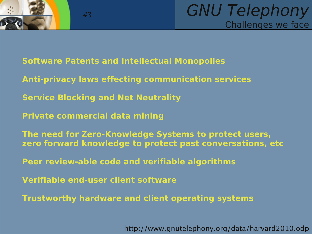



- **Software Patents and Intellectual Monopolies**
- **Anti-privacy laws effecting communication services**
- **Service Blocking and Net Neutrality**
- **Private commercial data mining**

- **The need for Zero-Knowledge Systems to protect users, zero forward knowledge to protect past conversations, etc**
- **Peer review-able code and verifiable algorithms**
- **Verifiable end-user client software**
- **Trustworthy hardware and client operating systems**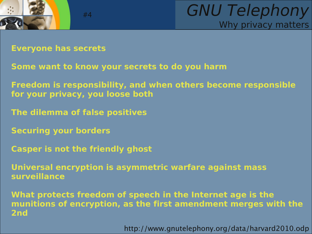

GNU Telephony Why privacy matters

**Everyone has secrets**

- **Some want to know your secrets to do you harm**
- **Freedom is responsibility, and when others become responsible for your privacy, you loose both**
- **The dilemma of false positives**

#4

- **Securing your borders**
- **Casper is not the friendly ghost**
- **Universal encryption is asymmetric warfare against mass surveillance**
- **What protects freedom of speech in the Internet age is the munitions of encryption, as the first amendment merges with the 2nd**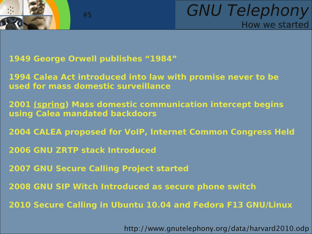



**1949 George Orwell publishes "1984"**

#5

**1994 Calea Act introduced into law with promise never to be used for mass domestic surveillance**

**2001 (spring) Mass domestic communication intercept begins using Calea mandated backdoors**

**2004 CALEA proposed for VoIP, Internet Common Congress Held**

**2006 GNU ZRTP stack Introduced**

**2007 GNU Secure Calling Project started**

**2008 GNU SIP Witch Introduced as secure phone switch**

**2010 Secure Calling in Ubuntu 10.04 and Fedora F13 GNU/Linux**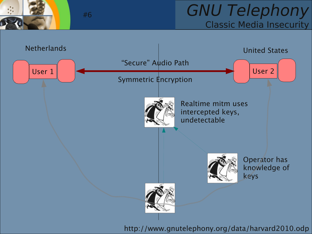#### GNU Telephony Classic Media Insecurity

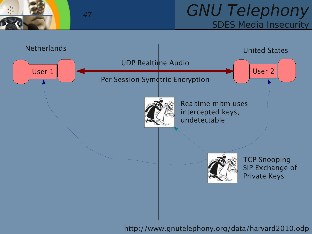

#### GNU Telephony SDES Media Insecurity

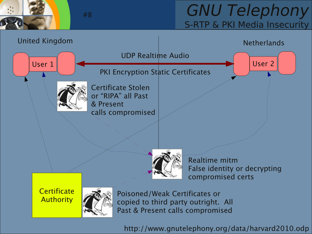# GNU Telephony S-RTP & PKI Media Insecurity

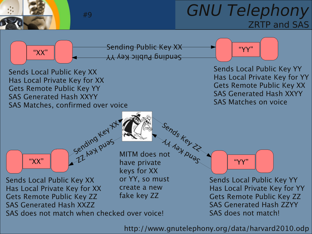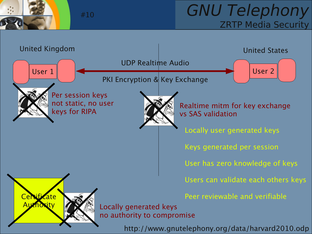

#### GNU Telephony ZRTP Media Security

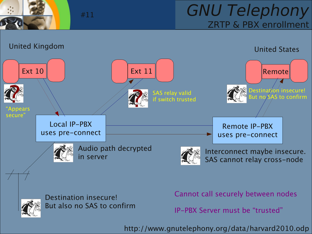

GNU Telephony ZRTP & PBX enrollment





Destination insecure! But also no SAS to confirm

#11

Cannot call securely between nodes

IP-PBX Server must be "trusted"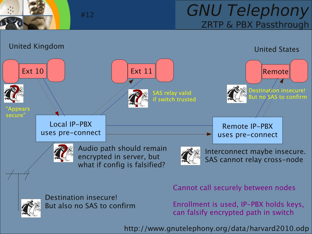

#### GNU Telephony ZRTP & PBX Passthrough





Destination insecure! But also no SAS to confirm

#12

Cannot call securely between nodes

Enrollment is used, IP-PBX holds keys, can falsify encrypted path in switch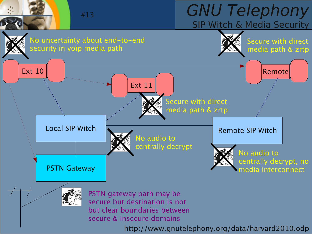#### GNU Telephony SIP Witch & Media Security #13

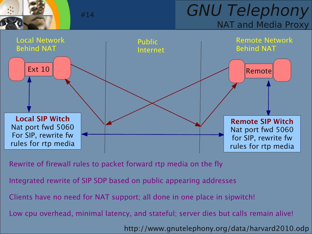

GNU Telephony NAT and Media Proxy



Rewrite of firewall rules to packet forward rtp media on the fly

Integrated rewrite of SIP SDP based on public appearing addresses

Clients have no need for NAT support; all done in one place in sipwitch!

Low cpu overhead, minimal latency, and stateful; server dies but calls remain alive!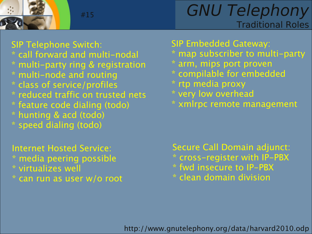

# GNU Telephony Traditional Roles

SIP Telephone Switch:

- \* call forward and multi-nodal
- \* multi-party ring & registration
- \* multi-node and routing
- \* class of service/profiles
- \* reduced traffic on trusted nets
- \* feature code dialing (todo)
- \* hunting & acd (todo)
- \* speed dialing (todo)

Internet Hosted Service: \* media peering possible \* virtualizes well \* can run as user w/o root SIP Embedded Gateway:

- \* map subscriber to multi-party
- \* arm, mips port proven
- \* compilable for embedded
- \* rtp media proxy
- \* very low overhead
- \* xmlrpc remote management

Secure Call Domain adjunct: \* cross-register with IP-PBX \* fwd insecure to IP-PBX \* clean domain division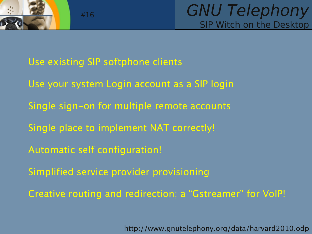

Use existing SIP softphone clients

#16

- Use your system Login account as a SIP login
- Single sign-on for multiple remote accounts
- Single place to implement NAT correctly!
- Automatic self configuration!
- Simplified service provider provisioning
- Creative routing and redirection; a "Gstreamer" for VoIP!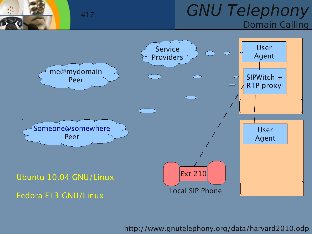### GNU Telephony Domain Calling

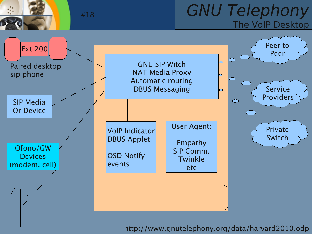### GNU Telephony The VoIP Desktop

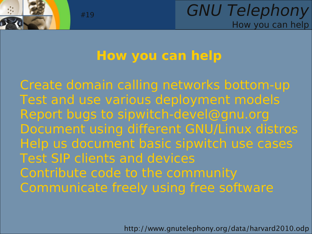

# **How you can help**

Create domain calling networks bottom-up Test and use various deployment models Report bugs to [sipwitch-devel@gnu.org](mailto:sipwitch-devel@gnu.org) Document using different GNU/Linux distros Help us document basic sipwitch use cases Test SIP clients and devices Contribute code to the community Communicate freely using free software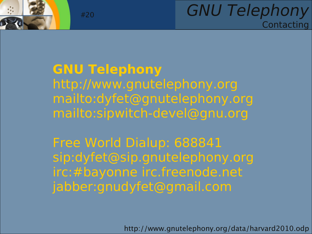

### GNU Telephony **Contacting**

# **GNU Telephony** http://www.gnutelephony.org <mailto:dyfet@gnutelephony.org> mailto:sipwitch-devel@gnu.org

Free World Dialup: 688841 sip:[dyfet@sip.gnutelephony.org](mailto:dyfet@sip.gnutelephony.org) irc:#bayonne irc.freenode.net jabber:gnudyfet@gmail.com